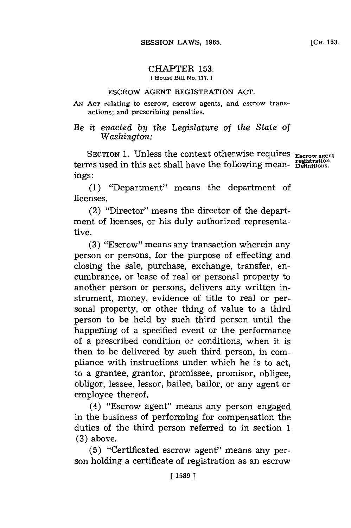## CHAPTER **153. fHouse Bill No. 117.**

## ESCROW **AGENT** REGISTRATION **ACT.**

**AN ACT** relating to escrow, escrow agents, and escrow transactions; and prescribing penalties.

## *Be it enacted by the Legislature* of *the State of Washington:*

SECTION 1. Unless the context otherwise requires Escrow agent terms used in this act shall have the following meanings:

**(1)** "Department" means the department of licenses.

(2) "Director" means the director of the department of licenses, or his duly authorized representative.

**(3)** "Escrow" means any transaction wherein any person or persons, for the purpose of effecting and closing the sale, purchase, exchange, transfer, encumbrance, or lease of real or personal property to another person or persons, delivers any written instrument, money, evidence of title to real or personal property, or other thing of value to a third person to be held **by** such third person until the happening of a specified event or the performance of a prescribed condition or conditions, when it is then to be delivered **by** such third person, in compliance with instructions under which he is to act, to a grantee, grantor, promissee, promisor, obligee, obligor, lessee, lessor, bailee, bailor, or any agent or employee thereof.

(4) "Escrow agent" means any person engaged in the business of performing for compensation the duties of the third person referred to in section **1 (3)** above.

**(5)** "Certificated escrow agent" means any person holding a certificate of registration as an escrow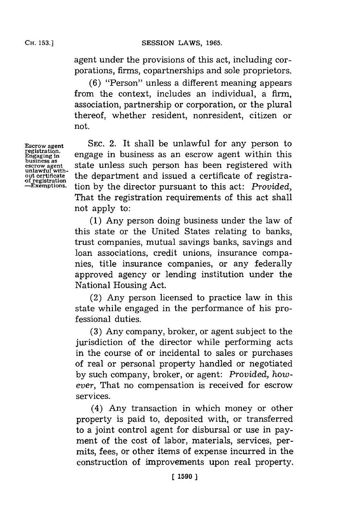agent under the provisions of this act, including corporations, firms, copartnerships and sole proprietors.

**(6)** "Person" unless a different meaning appears from the context, includes an individual, a firm, association, partnership or corporation, or the plural thereof, whether resident, nonresident, citizen or not.

**SEC.** 2. It shall be unlawful for any person to engage in business as an escrow agent within this state unless such person has been registered with the department and issued a certificate of registration **by** the director pursuant to this act: *Provided,* That the registration requirements of this act shall not apply to:

**(1)** Any person doing business under the law of this state or the United States relating to banks, trust companies, mutual savings banks, savings and loan associations, credit unions, insurance companies, title insurance companies, or any federally approved agency or lending institution under the National Housing Act.

(2) Any person licensed to practice law in this state while engaged in the performance of his professional duties.

**(3)** Any company, broker, or agent subject to the jurisdiction of the director while performing acts in the course of or incidental to sales or purchases of real or personal property handled or negotiated **by** such company, broker, or agent: *Provided, however,* That no compensation is received for escrow services.

(4) Any transaction in which money or other property is paid to, deposited with, or transferred to a joint control agent for disbursal or use in payment of the cost of labor, materials, services, permits, fees, or other items of expense incurred in the construction of improvements upon real property.

**Escrow agent registration. Engaging In business as escrow agent unlawful without certificate of registration -Exemptions.**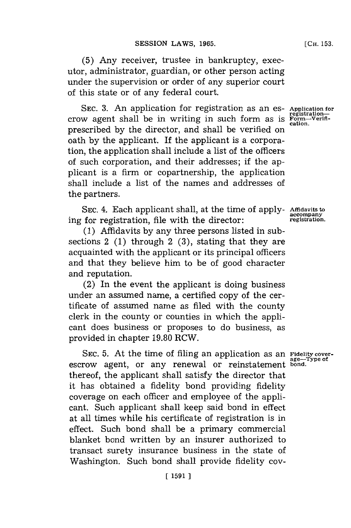**(5)** Any receiver, trustee in bankruptcy, executor, administrator, guardian, or other person acting under the supervision or order of any superior court of this state or of any federal court.

SEC. 3. An application for registration as an es- Application for **CROW** agent shall be in writing in such form as is  $\frac{1}{100}$  registration-<br> **CROW** agent shall be in writing in such form as is  $\frac{1}{1000}$ . prescribed **by** the director, and shall be verified on oath **by** the applicant. If the applicant is a corporation, the application shall include a list of the officers of such corporation, and their addresses; if the applicant is a firm or copartnership, the application shall include a list of the names and addresses of the partners.

SEC. 4. Each applicant shall, at the time of apply- Affidavits to<br>for registration, file with the director:<br>registration. **accompany** ing for registration, file with the director: **registration.**

**(1)** Affidavits **by** any three persons listed in subsections 2 **(1)** through 2 **(3),** stating that they are acquainted with the applicant or its principal officers and that they believe him to be of good character and reputation.

(2) In the event the applicant is doing business under an assumed name, a certified copy of the certificate of assumed name as filed with the county clerk in the county or counties in which the applicant does business or proposes to do business, as provided in chapter **19.80** RCW.

SEC. 5. At the time of filing an application as an Fidelity coverescrow agent, or any renewal or reinstatement thereof, the applicant shall satisfy the director that it has obtained a fidelity bond providing fidelity coverage on each officer and employee of the applicant. Such applicant shall keep said bond in effect at all times while his certificate of registration is in effect. Such bond shall be a primary commercial blanket bond written **by** an insurer authorized to transact surety insurance business in the state of Washington. Such bond shall provide fidelity coy-

**Fidelity cover- age-Type of bond.**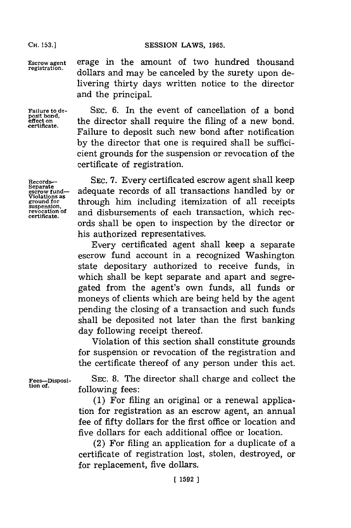**CH. 153.]**

Escrow agent erage in the amount of two hundred thousand dollars and may be canceled by the surety upon delivering thirty days written notice to the director and the principal.

> Failure to deposit such new bond after notification **by** the director that one is required shall be sufficicient grounds for the suspension or revocation of the

certificate of registration.

Failure to de-<br>posit bond,<br>messit bond,<br>messit bond, position.<br>
effect on the director shall require the filing of a new bond.

certificate.

Records-**- SEC. 7. Every certificated escrow agent shall keep** Separate<br>
Separate **perow** stand— adequate records of all transactions handled by or adequate records of all transactions handled by or Violations as through him including itemization of all receipts suspension,<br>ground for through him including itemization of all receipts revocation of and disbursements of each transaction, which records shall be open to inspection **by** the director or his authorized representatives. Every certificated agent shall keep a separate

escrow fund account in a recognized Washington state depositary authorized to receive funds, in which shall be kept separate and apart and segregated from the agent's own funds, all funds or moneys of clients which are being held **by** the agent pending the closing of a transaction and such funds shall be deposited not later than the first banking day following receipt thereof.

Violation of this section shall constitute grounds for suspension or revocation of the registration and the certificate thereof of any person under this act.

Fees-Disposi- SEC. 8. The director shall charge and collect the tion of.<br>following fees:

**(1)** For filing an original or a renewal application for registration as an escrow agent, an annual fee of fifty dollars for the first office or location and five dollars for each additional office or location.

(2) For filing an application for a duplicate of a certificate of registration lost, stolen, destroyed, or for replacement, five dollars.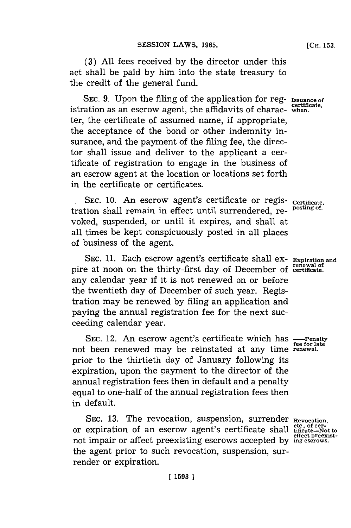**(3) All** fees received **by** the director under this act shall be paid **by** him into the state treasury to the credit of the general fund.

**SEC. 9.** Upon the filing of the application for reg- **Issuance of** istration as an escrow agent, the affidavits of charac- when. ter, the certificate of assumed name, if appropriate, the acceptance of the bond or other indemnity insurance, and the payment of the filing fee, the director shall issue and deliver to the applicant a certificate of registration to engage in the business of an escrow agent at the location or locations set forth in the certificate or certificates.

**ISEC. 10.** An escrow agent's certificate or regis- certificate,<br>tion shall pomoin in effect until surpandented as posting of. tration shall remain in effect until surrendered, reyoked, suspended, or until it expires, and shall at all times be kept conspicuously posted in all places of business of the agent.

**SEC. 11.** Each escrow agent's certificate shall ex-**Expiration and** pire at noon on the thirty-first day of December of certificate any calendar year if it is not renewed on or before the twentieth day of December of such year. Registration may be renewed **by** filing an application and paying the annual registration fee for the next succeeding calendar year.

**SEC.** 12. An escrow agent's certificate which has  $\frac{P}{\text{free for late}}$ **fe for late** not been renewed may be reinstated at any time **frenewal.** prior to the thirtieth day of January following its expiration, upon the payment to the director of the annual registration fees then in default and a penalty equal to one-half of the annual registration fees then in default.

SEC. 13. The revocation, suspension, surrender Revocation or expiration of an escrow agent's certificate shall not impair or affect preexisting escrows accepted **by** the agent prior to such revocation, suspension, surrender or expiration.

**etc., of cer- tificate-Not to effect preexist- ing escrows.**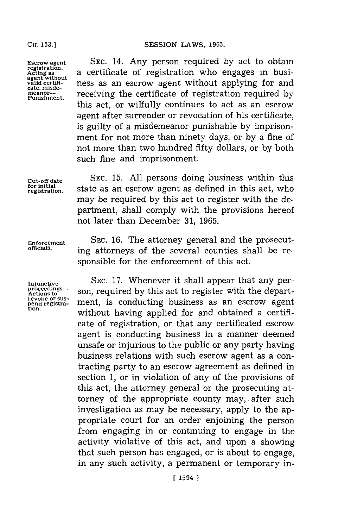SESSION LAWS, 1965.

**registration. agent withou**

**Escrow agent SEC.** 14. Any person required **by** act to obtain **Acting as** ota certificate of registration who engages in busivalid certifi-<br>cate, misde-<br>cate, misde**cate, misde- meanor-** receiving the certificate of registration required **by Punishment.** this act, or wilfully continues to act as an escrow agent after surrender or revocation of his certificate, is guilty of a misdemeanor punishable **by** imprisonment for not more than ninety days, or **by** a fine of not more than two hundred fifty dollars, or **by** both such fine and imprisonment.

**Cut-off date SEC. 15. All** persons doing business within this for initial **state as an escrow** agent as defined in this act, who may be required **by** this act to register with the department, shall comply with the provisions hereof not later than December **31, 1965.**

Enforcement SEC. 16. The attorney general and the prosecut-<br>
officials. ing attorneys of the several counties shall be responsible for the enforcement of this act.

**Injunctive proceedings-Actions to revoke or sus- pend registra- tion.**

**SEC. 17.** Whenever it shall appear that any person, required **by** this act to register with the department, is conducting business as an escrow agent without having applied for and obtained a certificate of registration, or that any certificated escrow agent is conducting business in a manner deemed unsafe or injurious to the public or any party having business relations with such escrow agent as a contracting party to an escrow agreement as defined in section **1,** or in violation of any of the provisions of this act, the attorney general or the prosecuting attorney of the appropriate county may, after such investigation as may be necessary, apply to the appropriate court for an order enjoining the person from engaging in or continuing to engage in the activity violative of this act, and upon a showing that such person has engaged, or is about to engage, in any such activity, a permanent or temporary in